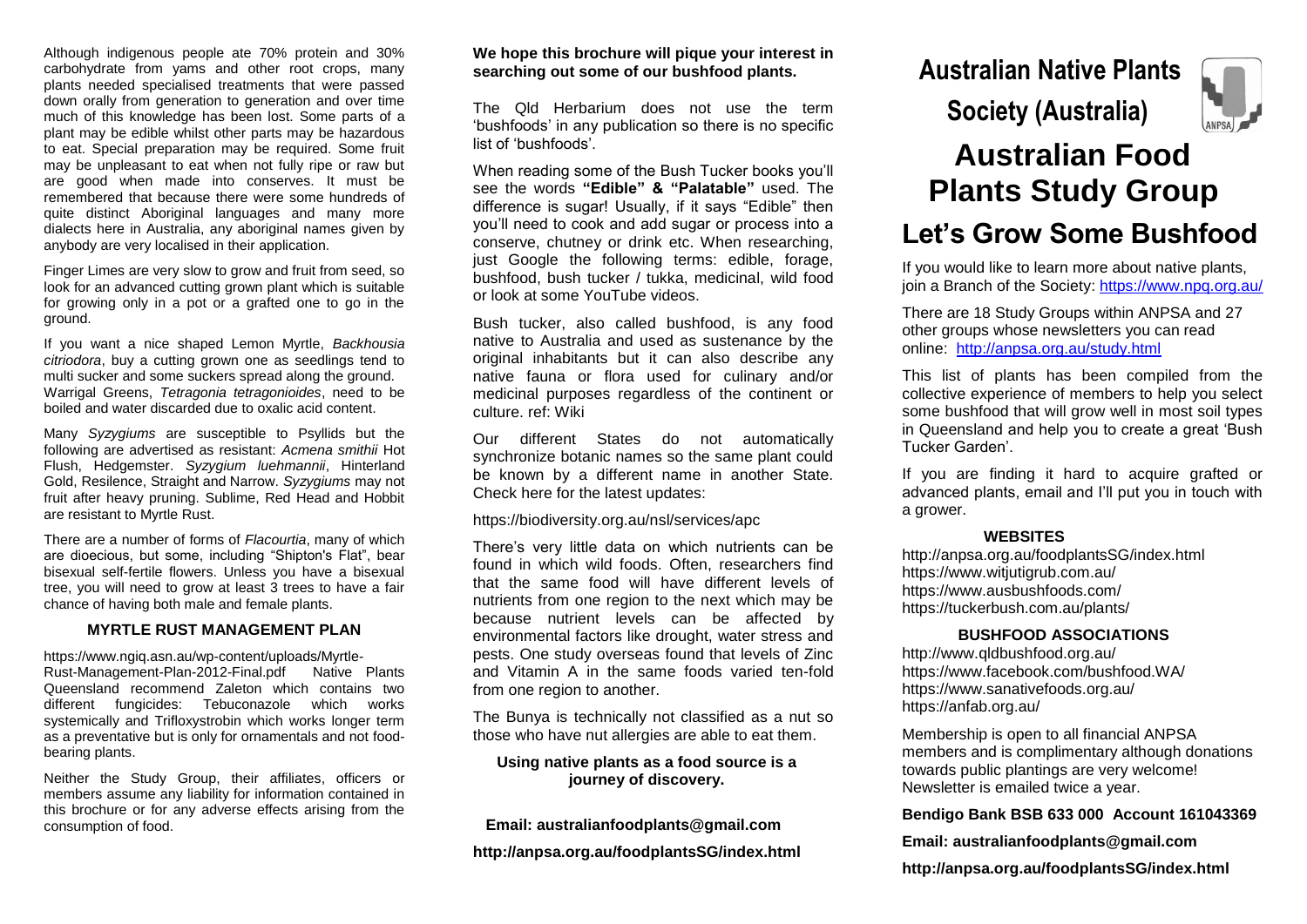Although indigenous people ate 70% protein and 30% carbohydrate from yams and other root crops, many plants needed specialised treatments that were passed down orally from generation to generation and over time much of this knowledge has been lost. Some parts of a plant may be edible whilst other parts may be hazardous to eat. Special preparation may be required. Some fruit may be unpleasant to eat when not fully ripe or raw but are good when made into conserves. It must be remembered that because there were some hundreds of quite distinct Aboriginal languages and many more dialects here in Australia, any aboriginal names given by anybody are very localised in their application.

Finger Limes are very slow to grow and fruit from seed, so look for an advanced cutting grown plant which is suitable for growing only in a pot or a grafted one to go in the ground.

If you want a nice shaped Lemon Myrtle, *Backhousia citriodora*, buy a cutting grown one as seedlings tend to multi sucker and some suckers spread along the ground. Warrigal Greens, *Tetragonia tetragonioides*, need to be boiled and water discarded due to oxalic acid content.

Many *Syzygiums* are susceptible to Psyllids but the following are advertised as resistant: *Acmena smithii* Hot Flush, Hedgemster. *Syzygium luehmannii*, Hinterland Gold, Resilence, Straight and Narrow. *Syzygiums* may not fruit after heavy pruning. Sublime, Red Head and Hobbit are resistant to Myrtle Rust.

There are a number of forms of *Flacourtia*, many of which are dioecious, but some, including "Shipton's Flat", bear bisexual self-fertile flowers. Unless you have a bisexual tree, you will need to grow at least 3 trees to have a fair chance of having both male and female plants.

## **MYRTLE RUST MANAGEMENT PLAN**

https://www.ngiq.asn.au/wp-content/uploads/Myrtle-Rust-Management-Plan-2012-Final.pdf Native Plants Queensland recommend Zaleton which contains two different fungicides: Tebuconazole which works systemically and Trifloxystrobin which works longer term as a preventative but is only for ornamentals and not foodbearing plants.

Neither the Study Group, their affiliates, officers or members assume any liability for information contained in this brochure or for any adverse effects arising from the consumption of food.

### **We hope this brochure will pique your interest in searching out some of our bushfood plants.**

The Qld Herbarium does not use the term 'bushfoods' in any publication so there is no specific list of 'bushfoods'.

When reading some of the Bush Tucker books you'll see the words **"Edible" & "Palatable"** used. The difference is sugar! Usually, if it says "Edible" then you'll need to cook and add sugar or process into a conserve, chutney or drink etc. When researching, just Google the following terms: edible, forage, bushfood, bush tucker / tukka, medicinal, wild food or look at some YouTube videos.

Bush tucker, also called bushfood, is any food native to Australia and used as sustenance by the original inhabitants but it can also describe any native fauna or flora used for culinary and/or medicinal purposes regardless of the continent or culture. ref: Wiki

Our different States do not automatically synchronize botanic names so the same plant could be known by a different name in another State. Check here for the latest updates:

https://biodiversity.org.au/nsl/services/apc

There's very little data on which nutrients can be found in which wild foods. Often, researchers find that the same food will have different levels of nutrients from one region to the next which may be because nutrient levels can be affected by environmental factors like drought, water stress and pests. One study overseas found that levels of Zinc and Vitamin A in the same foods varied ten-fold from one region to another.

The Bunya is technically not classified as a nut so those who have nut allergies are able to eat them.

## **Using native plants as a food source is a journey of discovery.**

 **Email: australianfoodplants@gmail.com http://anpsa.org.au/foodplantsSG/index.html** **Australian Native Plants**



# **Australian Food Plants Study Group Let's Grow Some Bushfood**

If you would like to learn more about native plants, join a Branch of the Society: https://www.npg.org.au/

There are 18 Study Groups within ANPSA and 27 other groups whose newsletters you can read online: <http://anpsa.org.au/study.html>

This list of plants has been compiled from the collective experience of members to help you select some bushfood that will grow well in most soil types in Queensland and help you to create a great 'Bush Tucker Garden'.

If you are finding it hard to acquire grafted or advanced plants, email and I'll put you in touch with a grower.

#### **WEBSITES**

http://anpsa.org.au/foodplantsSG/index.html https://www.witjutigrub.com.au/ https://www.ausbushfoods.com/ https://tuckerbush.com.au/plants/

## **BUSHFOOD ASSOCIATIONS**

http://www.qldbushfood.org.au/ https://www.facebook.com/bushfood.WA/ https://www.sanativefoods.org.au/ https://anfab.org.au/

Membership is open to all financial ANPSA members and is complimentary although donations towards public plantings are very welcome! Newsletter is emailed twice a year.

## **Bendigo Bank BSB 633 000 Account 161043369**

## **Email: australianfoodplants@gmail.com**

**http://anpsa.org.au/foodplantsSG/index.html**